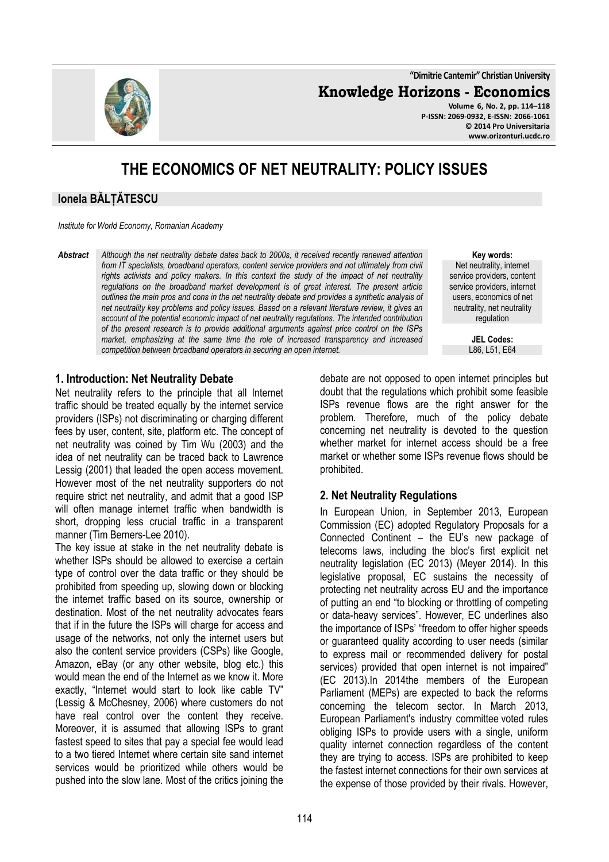**"Dimitrie Cantemir" Christian University**

**Knowledge Horizons - Economics**



**Volume 6, No. 2, pp. 114–118 P-ISSN: 2069-0932, E-ISSN: 2066-1061 © 2014 Pro Universitaria www.orizonturi.ucdc.ro**

# **THE ECONOMICS OF NET NEUTRALITY: POLICY ISSUES**

# **Ionela BĂLȚĂTESCU**

*Institute for World Economy, Romanian Academy*

*Abstract Although the net neutrality debate dates back to 2000s, it received recently renewed attention from IT specialists, broadband operators, content service providers and not ultimately from civil rights activists and policy makers. In this context the study of the impact of net neutrality regulations on the broadband market development is of great interest. The present article outlines the main pros and cons in the net neutrality debate and provides a synthetic analysis of net neutrality key problems and policy issues. Based on a relevant literature review, it gives an account of the potential economic impact of net neutrality regulations. The intended contribution of the present research is to provide additional arguments against price control on the ISPs market, emphasizing at the same time the role of increased transparency and increased competition between broadband operators in securing an open internet.* 

**Key words:** Net neutrality, internet service providers, content service providers, internet users, economics of net neutrality, net neutrality regulation

> **JEL Codes:** L86, L51, E64

#### **1. Introduction: Net Neutrality Debate**

Net neutrality refers to the principle that all Internet traffic should be treated equally by the internet service providers (ISPs) not discriminating or charging different fees by user, content, site, platform etc. The concept of net neutrality was coined by Tim Wu (2003) and the idea of net neutrality can be traced back to Lawrence Lessig (2001) that leaded the open access movement. However most of the net neutrality supporters do not require strict net neutrality, and admit that a good ISP will often manage internet traffic when bandwidth is short, dropping less crucial traffic in a transparent manner (Tim Berners-Lee 2010).

The key issue at stake in the net neutrality debate is whether ISPs should be allowed to exercise a certain type of control over the data traffic or they should be prohibited from speeding up, slowing down or blocking the internet traffic based on its source, ownership or destination. Most of the net neutrality advocates fears that if in the future the ISPs will charge for access and usage of the networks, not only the internet users but also the content service providers (CSPs) like Google, Amazon, eBay (or any other website, blog etc.) this would mean the end of the Internet as we know it. More exactly, "Internet would start to look like cable TV" (Lessig & McChesney, 2006) where customers do not have real control over the content they receive. Moreover, it is assumed that allowing ISPs to grant fastest speed to sites that pay a special fee would lead to a two tiered Internet where certain site sand internet services would be prioritized while others would be pushed into the slow lane. Most of the critics joining the

debate are not opposed to open internet principles but doubt that the regulations which prohibit some feasible ISPs revenue flows are the right answer for the problem. Therefore, much of the policy debate concerning net neutrality is devoted to the question whether market for internet access should be a free market or whether some ISPs revenue flows should be prohibited.

### **2. Net Neutrality Regulations**

In European Union, in September 2013, European Commission (EC) adopted Regulatory Proposals for a Connected Continent – the EU's new package of telecoms laws, including the bloc's first explicit net neutrality legislation (EC 2013) (Meyer 2014). In this legislative proposal, EC sustains the necessity of protecting net neutrality across EU and the importance of putting an end "to blocking or throttling of competing or data-heavy services". However, EC underlines also the importance of ISPs' "freedom to offer higher speeds or guaranteed quality according to user needs (similar to express mail or recommended delivery for postal services) provided that open internet is not impaired" (EC 2013).In 2014the members of the European Parliament (MEPs) are expected to back the reforms concerning the telecom sector. In March 2013, European Parliament's industry committee voted rules obliging ISPs to provide users with a single, uniform quality internet connection regardless of the content they are trying to access. ISPs are prohibited to keep the fastest internet connections for their own services at the expense of those provided by their rivals. However,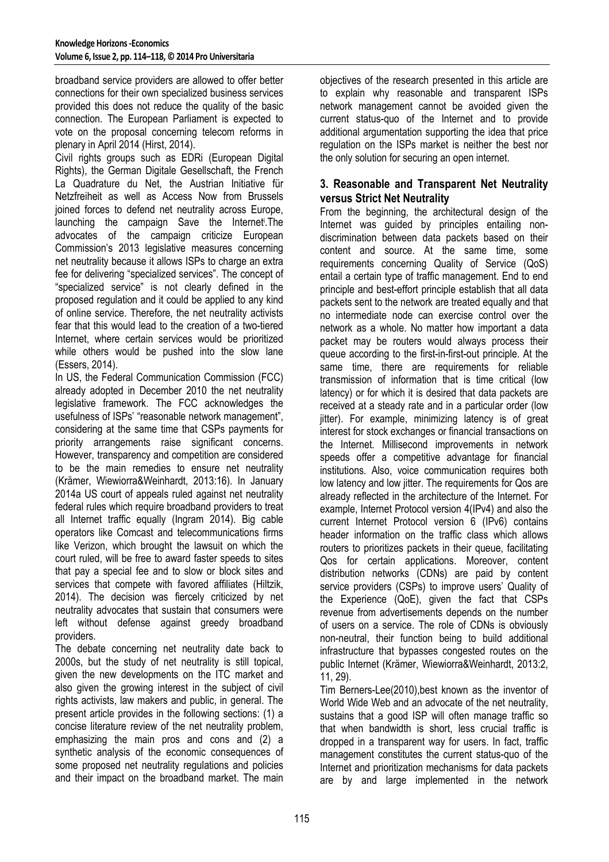broadband service providers are allowed to offer better connections for their own specialized business services provided this does not reduce the quality of the basic connection. The European Parliament is expected to vote on the proposal concerning telecom reforms in plenary in April 2014 (Hirst, 2014).

Civil rights groups such as EDRi (European Digital Rights), the German Digitale Gesellschaft, the French La Quadrature du Net, the Austrian Initiative für Netzfreiheit as well as Access Now from Brussels joined forces to defend net neutrality across Europe, launching the campaign Save the Internet. The advocates of the campaign criticize European Commission's 2013 legislative measures concerning net neutrality because it allows ISPs to charge an extra fee for delivering "specialized services". The concept of "specialized service" is not clearly defined in the proposed regulation and it could be applied to any kind of online service. Therefore, the net neutrality activists fear that this would lead to the creation of a two-tiered Internet, where certain services would be prioritized while others would be pushed into the slow lane (Essers, 2014).

In US, the Federal Communication Commission (FCC) already adopted in December 2010 the net neutrality legislative framework. The FCC acknowledges the usefulness of ISPs' "reasonable network management", considering at the same time that CSPs payments for priority arrangements raise significant concerns. However, transparency and competition are considered to be the main remedies to ensure net neutrality (Krämer, Wiewiorra&Weinhardt, 2013:16). In January 2014a US court of appeals ruled against net neutrality federal rules which require broadband providers to treat all Internet traffic equally (Ingram 2014). Big cable operators like Comcast and telecommunications firms like Verizon, which brought the lawsuit on which the court ruled, will be free to award faster speeds to sites that pay a special fee and to slow or block sites and services that compete with favored affiliates (Hiltzik, 2014). The decision was fiercely criticized by net neutrality advocates that sustain that consumers were left without defense against greedy broadband providers.

The debate concerning net neutrality date back to 2000s, but the study of net neutrality is still topical, given the new developments on the ITC market and also given the growing interest in the subject of civil rights activists, law makers and public, in general. The present article provides in the following sections: (1) a concise literature review of the net neutrality problem, emphasizing the main pros and cons and (2) a synthetic analysis of the economic consequences of some proposed net neutrality regulations and policies and their impact on the broadband market. The main

objectives of the research presented in this article are to explain why reasonable and transparent ISPs network management cannot be avoided given the current status-quo of the Internet and to provide additional argumentation supporting the idea that price regulation on the ISPs market is neither the best nor the only solution for securing an open internet.

# **3. Reasonable and Transparent Net Neutrality versus Strict Net Neutrality**

From the beginning, the architectural design of the Internet was guided by principles entailing nondiscrimination between data packets based on their content and source. At the same time, some requirements concerning Quality of Service (QoS) entail a certain type of traffic management. End to end principle and best-effort principle establish that all data packets sent to the network are treated equally and that no intermediate node can exercise control over the network as a whole. No matter how important a data packet may be routers would always process their queue according to the first-in-first-out principle. At the same time, there are requirements for reliable transmission of information that is time critical (low latency) or for which it is desired that data packets are received at a steady rate and in a particular order (low jitter). For example, minimizing latency is of great interest for stock exchanges or financial transactions on the Internet. Millisecond improvements in network speeds offer a competitive advantage for financial institutions. Also, voice communication requires both low latency and low jitter. The requirements for Qos are already reflected in the architecture of the Internet. For example, Internet Protocol version 4(IPv4) and also the current Internet Protocol version 6 (IPv6) contains header information on the traffic class which allows routers to prioritizes packets in their queue, facilitating Qos for certain applications. Moreover, content distribution networks (CDNs) are paid by content service providers (CSPs) to improve users' Quality of the Experience (QoE), given the fact that CSPs revenue from advertisements depends on the number of users on a service. The role of CDNs is obviously non-neutral, their function being to build additional infrastructure that bypasses congested routes on the public Internet (Krämer, Wiewiorra&Weinhardt, 2013:2, 11, 29).

Tim Berners-Lee(2010),best known as the inventor of World Wide Web and an advocate of the net neutrality, sustains that a good ISP will often manage traffic so that when bandwidth is short, less crucial traffic is dropped in a transparent way for users. In fact, traffic management constitutes the current status-quo of the Internet and prioritization mechanisms for data packets are by and large implemented in the network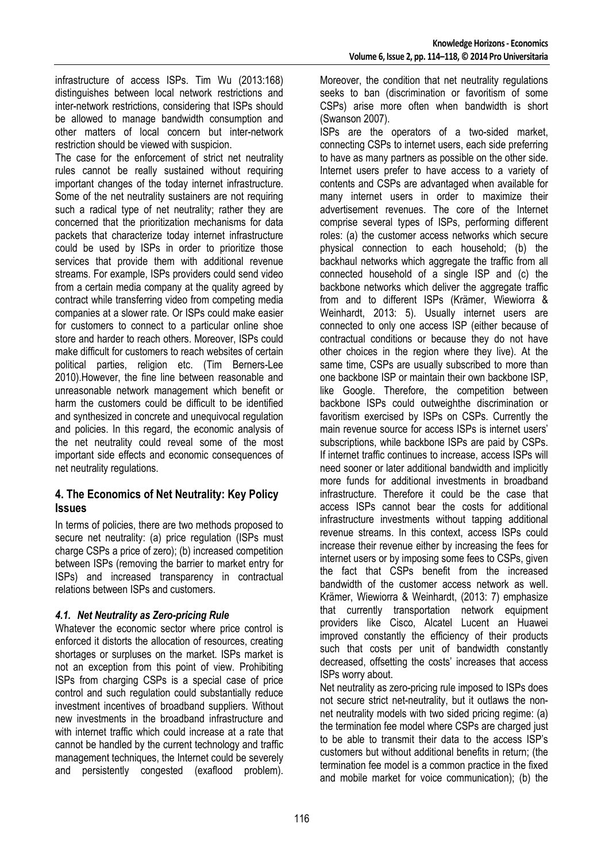infrastructure of access ISPs. Tim Wu (2013:168) distinguishes between local network restrictions and inter-network restrictions, considering that ISPs should be allowed to manage bandwidth consumption and other matters of local concern but inter-network restriction should be viewed with suspicion.

The case for the enforcement of strict net neutrality rules cannot be really sustained without requiring important changes of the today internet infrastructure. Some of the net neutrality sustainers are not requiring such a radical type of net neutrality; rather they are concerned that the prioritization mechanisms for data packets that characterize today internet infrastructure could be used by ISPs in order to prioritize those services that provide them with additional revenue streams. For example, ISPs providers could send video from a certain media company at the quality agreed by contract while transferring video from competing media companies at a slower rate. Or ISPs could make easier for customers to connect to a particular online shoe store and harder to reach others. Moreover, ISPs could make difficult for customers to reach websites of certain political parties, religion etc. (Tim Berners-Lee 2010).However, the fine line between reasonable and unreasonable network management which benefit or harm the customers could be difficult to be identified and synthesized in concrete and unequivocal regulation and policies. In this regard, the economic analysis of the net neutrality could reveal some of the most important side effects and economic consequences of net neutrality regulations.

# **4. The Economics of Net Neutrality: Key Policy Issues**

In terms of policies, there are two methods proposed to secure net neutrality: (a) price regulation (ISPs must charge CSPs a price of zero); (b) increased competition between ISPs (removing the barrier to market entry for ISPs) and increased transparency in contractual relations between ISPs and customers.

### *4.1. Net Neutrality as Zero-pricing Rule*

Whatever the economic sector where price control is enforced it distorts the allocation of resources, creating shortages or surpluses on the market. ISPs market is not an exception from this point of view. Prohibiting ISPs from charging CSPs is a special case of price control and such regulation could substantially reduce investment incentives of broadband suppliers. Without new investments in the broadband infrastructure and with internet traffic which could increase at a rate that cannot be handled by the current technology and traffic management techniques, the Internet could be severely and persistently congested (exaflood problem).

Moreover, the condition that net neutrality regulations seeks to ban (discrimination or favoritism of some CSPs) arise more often when bandwidth is short (Swanson 2007).

ISPs are the operators of a two-sided market, connecting CSPs to internet users, each side preferring to have as many partners as possible on the other side. Internet users prefer to have access to a variety of contents and CSPs are advantaged when available for many internet users in order to maximize their advertisement revenues. The core of the Internet comprise several types of ISPs, performing different roles: (a) the customer access networks which secure physical connection to each household; (b) the backhaul networks which aggregate the traffic from all connected household of a single ISP and (c) the backbone networks which deliver the aggregate traffic from and to different ISPs (Krämer, Wiewiorra & Weinhardt, 2013: 5). Usually internet users are connected to only one access ISP (either because of contractual conditions or because they do not have other choices in the region where they live). At the same time, CSPs are usually subscribed to more than one backbone ISP or maintain their own backbone ISP, like Google. Therefore, the competition between backbone ISPs could outweighthe discrimination or favoritism exercised by ISPs on CSPs. Currently the main revenue source for access ISPs is internet users' subscriptions, while backbone ISPs are paid by CSPs. If internet traffic continues to increase, access ISPs will need sooner or later additional bandwidth and implicitly more funds for additional investments in broadband infrastructure. Therefore it could be the case that access ISPs cannot bear the costs for additional infrastructure investments without tapping additional revenue streams. In this context, access ISPs could increase their revenue either by increasing the fees for internet users or by imposing some fees to CSPs, given the fact that CSPs benefit from the increased bandwidth of the customer access network as well. Krämer, Wiewiorra & Weinhardt, (2013: 7) emphasize that currently transportation network equipment providers like Cisco, Alcatel Lucent an Huawei improved constantly the efficiency of their products such that costs per unit of bandwidth constantly decreased, offsetting the costs' increases that access ISPs worry about.

Net neutrality as zero-pricing rule imposed to ISPs does not secure strict net-neutrality, but it outlaws the nonnet neutrality models with two sided pricing regime: (a) the termination fee model where CSPs are charged just to be able to transmit their data to the access ISP's customers but without additional benefits in return; (the termination fee model is a common practice in the fixed and mobile market for voice communication); (b) the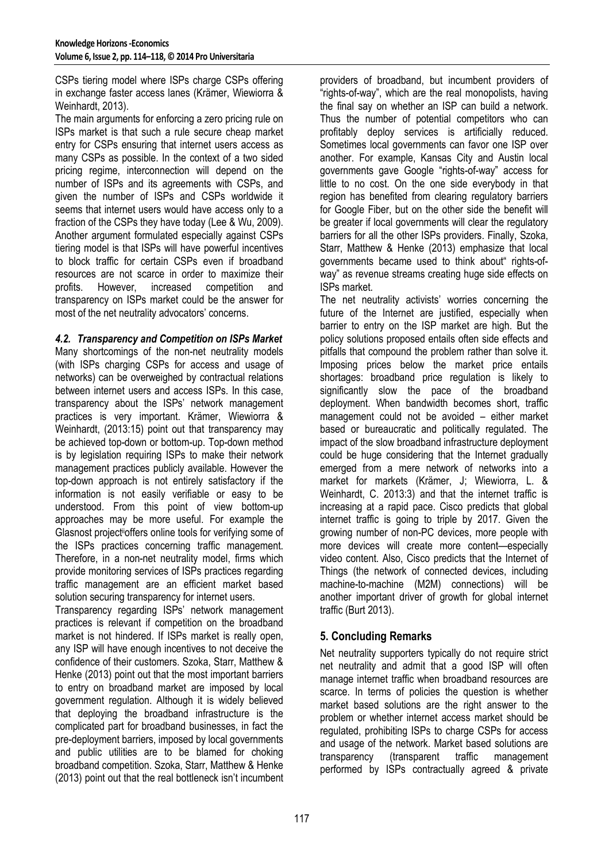CSPs tiering model where ISPs charge CSPs offering in exchange faster access lanes (Krämer, Wiewiorra & Weinhardt, 2013).

The main arguments for enforcing a zero pricing rule on ISPs market is that such a rule secure cheap market entry for CSPs ensuring that internet users access as many CSPs as possible. In the context of a two sided pricing regime, interconnection will depend on the number of ISPs and its agreements with CSPs, and given the number of ISPs and CSPs worldwide it seems that internet users would have access only to a fraction of the CSPs they have today (Lee & Wu, 2009). Another argument formulated especially against CSPs tiering model is that ISPs will have powerful incentives to block traffic for certain CSPs even if broadband resources are not scarce in order to maximize their profits. However, increased competition and transparency on ISPs market could be the answer for most of the net neutrality advocators' concerns.

### *4.2. Transparency and Competition on ISPs Market*

Many shortcomings of the non-net neutrality models (with ISPs charging CSPs for access and usage of networks) can be overweighed by contractual relations between internet users and access ISPs. In this case, transparency about the ISPs' network management practices is very important. Krämer, Wiewiorra & Weinhardt, (2013:15) point out that transparency may be achieved top-down or bottom-up. Top-down method is by legislation requiring ISPs to make their network management practices publicly available. However the top-down approach is not entirely satisfactory if the information is not easily verifiable or easy to be understood. From this point of view bottom-up approaches may be more useful. For example the Glasnost projectiioffers online tools for verifying some of the ISPs practices concerning traffic management. Therefore, in a non-net neutrality model, firms which provide monitoring services of ISPs practices regarding traffic management are an efficient market based solution securing transparency for internet users.

Transparency regarding ISPs' network management practices is relevant if competition on the broadband market is not hindered. If ISPs market is really open, any ISP will have enough incentives to not deceive the confidence of their customers. Szoka, Starr, Matthew & Henke (2013) point out that the most important barriers to entry on broadband market are imposed by local government regulation. Although it is widely believed that deploying the broadband infrastructure is the complicated part for broadband businesses, in fact the pre-deployment barriers, imposed by local governments and public utilities are to be blamed for choking broadband competition. Szoka, Starr, Matthew & Henke (2013) point out that the real bottleneck isn't incumbent

providers of broadband, but incumbent providers of "rights-of-way", which are the real monopolists, having the final say on whether an ISP can build a network. Thus the number of potential competitors who can profitably deploy services is artificially reduced. Sometimes local governments can favor one ISP over another. For example, Kansas City and Austin local governments gave Google "rights-of-way" access for little to no cost. On the one side everybody in that region has benefited from clearing regulatory barriers for Google Fiber, but on the other side the benefit will be greater if local governments will clear the regulatory barriers for all the other ISPs providers. Finally, Szoka, Starr, Matthew & Henke (2013) emphasize that local governments became used to think about" rights-ofway" as revenue streams creating huge side effects on ISPs market.

The net neutrality activists' worries concerning the future of the Internet are justified, especially when barrier to entry on the ISP market are high. But the policy solutions proposed entails often side effects and pitfalls that compound the problem rather than solve it. Imposing prices below the market price entails shortages: broadband price regulation is likely to significantly slow the pace of the broadband deployment. When bandwidth becomes short, traffic management could not be avoided – either market based or bureaucratic and politically regulated. The impact of the slow broadband infrastructure deployment could be huge considering that the Internet gradually emerged from a mere network of networks into a market for markets (Krämer, J; Wiewiorra, L. & Weinhardt, C. 2013:3) and that the internet traffic is increasing at a rapid pace. Cisco predicts that global internet traffic is going to triple by 2017. Given the growing number of non-PC devices, more people with more devices will create more content—especially video content. Also, Cisco predicts that the Internet of Things (the network of connected devices, including machine-to-machine (M2M) connections) will be another important driver of growth for global internet traffic (Burt 2013).

# **5. Concluding Remarks**

Net neutrality supporters typically do not require strict net neutrality and admit that a good ISP will often manage internet traffic when broadband resources are scarce. In terms of policies the question is whether market based solutions are the right answer to the problem or whether internet access market should be regulated, prohibiting ISPs to charge CSPs for access and usage of the network. Market based solutions are transparency (transparent traffic management performed by ISPs contractually agreed & private